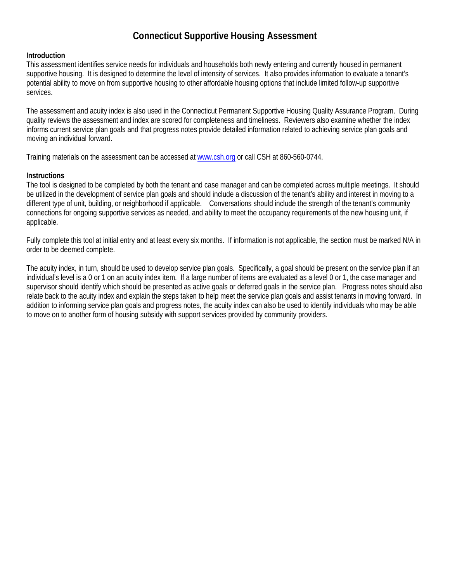# **Connecticut Supportive Housing Assessment**

### **Introduction**

This assessment identifies service needs for individuals and households both newly entering and currently housed in permanent supportive housing. It is designed to determine the level of intensity of services. It also provides information to evaluate a tenant's potential ability to move on from supportive housing to other affordable housing options that include limited follow-up supportive services.

The assessment and acuity index is also used in the Connecticut Permanent Supportive Housing Quality Assurance Program. During quality reviews the assessment and index are scored for completeness and timeliness. Reviewers also examine whether the index informs current service plan goals and that progress notes provide detailed information related to achieving service plan goals and moving an individual forward.

Training materials on the assessment can be accessed a[t www.csh.org](http://www.csh.org/) or call CSH at 860-560-0744.

## **Instructions**

The tool is designed to be completed by both the tenant and case manager and can be completed across multiple meetings. It should be utilized in the development of service plan goals and should include a discussion of the tenant's ability and interest in moving to a different type of unit, building, or neighborhood if applicable. Conversations should include the strength of the tenant's community connections for ongoing supportive services as needed, and ability to meet the occupancy requirements of the new housing unit, if applicable.

Fully complete this tool at initial entry and at least every six months. If information is not applicable, the section must be marked N/A in order to be deemed complete.

The acuity index, in turn, should be used to develop service plan goals. Specifically, a goal should be present on the service plan if an individual's level is a 0 or 1 on an acuity index item. If a large number of items are evaluated as a level 0 or 1, the case manager and supervisor should identify which should be presented as active goals or deferred goals in the service plan. Progress notes should also relate back to the acuity index and explain the steps taken to help meet the service plan goals and assist tenants in moving forward. In addition to informing service plan goals and progress notes, the acuity index can also be used to identify individuals who may be able to move on to another form of housing subsidy with support services provided by community providers.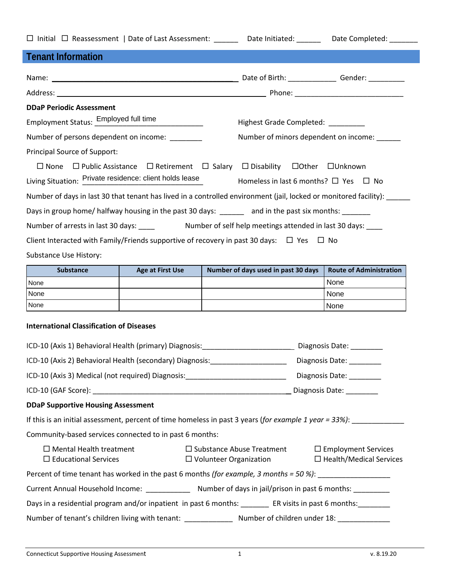|                                                                                                               |                                                                                 | □ Initial □ Reassessment   Date of Last Assessment: _______ Date Initiated: ______ Date Completed: _______              |                                       |  |
|---------------------------------------------------------------------------------------------------------------|---------------------------------------------------------------------------------|-------------------------------------------------------------------------------------------------------------------------|---------------------------------------|--|
| <b>Tenant Information</b>                                                                                     |                                                                                 |                                                                                                                         |                                       |  |
|                                                                                                               |                                                                                 |                                                                                                                         |                                       |  |
|                                                                                                               |                                                                                 |                                                                                                                         |                                       |  |
| <b>DDaP Periodic Assessment</b>                                                                               |                                                                                 |                                                                                                                         |                                       |  |
| Employment Status: Employed full time                                                                         |                                                                                 |                                                                                                                         |                                       |  |
|                                                                                                               |                                                                                 | Highest Grade Completed: _________                                                                                      |                                       |  |
| Number of persons dependent on income:                                                                        |                                                                                 |                                                                                                                         | Number of minors dependent on income: |  |
| Principal Source of Support:                                                                                  |                                                                                 |                                                                                                                         |                                       |  |
|                                                                                                               |                                                                                 | $\Box$ None $\Box$ Public Assistance $\Box$ Retirement $\Box$ Salary $\Box$ Disability $\Box$ Other $\Box$ Unknown      |                                       |  |
| Living Situation: Private residence: client holds lease                                                       |                                                                                 | Homeless in last 6 months? $\Box$ Yes $\Box$ No                                                                         |                                       |  |
|                                                                                                               |                                                                                 | Number of days in last 30 that tenant has lived in a controlled environment (jail, locked or monitored facility): _____ |                                       |  |
|                                                                                                               |                                                                                 | Days in group home/ halfway housing in the past 30 days: and in the past six months:                                    |                                       |  |
|                                                                                                               |                                                                                 |                                                                                                                         |                                       |  |
|                                                                                                               |                                                                                 | Client Interacted with Family/Friends supportive of recovery in past 30 days: $\Box$ Yes $\Box$ No                      |                                       |  |
| Substance Use History:                                                                                        |                                                                                 |                                                                                                                         |                                       |  |
| Substance                                                                                                     | <b>Age at First Use</b>                                                         | Number of days used in past 30 days                                                                                     | <b>Route of Administration</b>        |  |
| None                                                                                                          |                                                                                 |                                                                                                                         | None                                  |  |
| None<br>None                                                                                                  |                                                                                 |                                                                                                                         | None<br>None                          |  |
|                                                                                                               | the contract of the contract of the contract of the contract of the contract of |                                                                                                                         |                                       |  |
| <b>International Classification of Diseases</b>                                                               |                                                                                 |                                                                                                                         |                                       |  |
|                                                                                                               |                                                                                 | ICD-10 (Axis 1) Behavioral Health (primary) Diagnosis:<br>1920 - Channel London, Diagnosis Date: 2021                   |                                       |  |
| ICD-10 (Axis 2) Behavioral Health (secondary) Diagnosis:                                                      |                                                                                 |                                                                                                                         | Diagnosis Date:                       |  |
| ICD-10 (Axis 3) Medical (not required) Diagnosis: ______________________________                              |                                                                                 |                                                                                                                         | Diagnosis Date: _______               |  |
|                                                                                                               |                                                                                 |                                                                                                                         | Diagnosis Date:                       |  |
| <b>DDaP Supportive Housing Assessment</b>                                                                     |                                                                                 |                                                                                                                         |                                       |  |
|                                                                                                               |                                                                                 | If this is an initial assessment, percent of time homeless in past 3 years (for example 1 year = 33%):                  |                                       |  |
| Community-based services connected to in past 6 months:                                                       |                                                                                 |                                                                                                                         |                                       |  |
| $\Box$ Mental Health treatment                                                                                |                                                                                 | $\square$ Substance Abuse Treatment                                                                                     | $\Box$ Employment Services            |  |
| $\Box$ Educational Services<br>$\Box$ Health/Medical Services<br>$\Box$ Volunteer Organization                |                                                                                 |                                                                                                                         |                                       |  |
| Percent of time tenant has worked in the past 6 months (for example, 3 months = 50 %): ______________________ |                                                                                 |                                                                                                                         |                                       |  |
| Current Annual Household Income: ________________ Number of days in jail/prison in past 6 months: __________  |                                                                                 |                                                                                                                         |                                       |  |
| Days in a residential program and/or inpatient in past 6 months: ________ ER visits in past 6 months: _______ |                                                                                 |                                                                                                                         |                                       |  |
|                                                                                                               |                                                                                 | Number of tenant's children living with tenant: ________________ Number of children under 18: _______________           |                                       |  |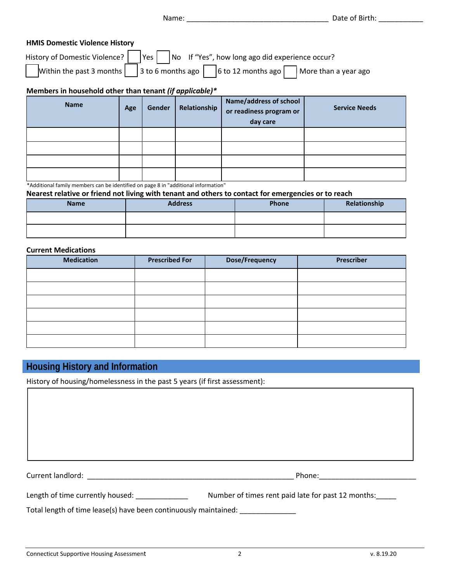Name: \_\_\_\_\_\_\_\_\_\_\_\_\_\_\_\_\_\_\_\_\_\_\_\_\_\_\_\_\_\_\_\_\_\_\_ Date of Birth: \_\_\_\_\_\_\_\_\_\_\_

| <b>HMIS Domestic Violence History</b>                                                           |  |                                                                                           |  |  |  |
|-------------------------------------------------------------------------------------------------|--|-------------------------------------------------------------------------------------------|--|--|--|
| History of Domestic Violence? $\Box$ Yes $\Box$ No If "Yes", how long ago did experience occur? |  |                                                                                           |  |  |  |
|                                                                                                 |  | Within the past 3 months 3 to 6 months ago 6 to 12 months ago $\Box$ More than a year ago |  |  |  |

### **Members in household other than tenant** *(if applicable)\**

| <b>Name</b> | Age | Gender | Relationship | <b>Name/address of school</b><br>or readiness program or<br>day care | <b>Service Needs</b> |
|-------------|-----|--------|--------------|----------------------------------------------------------------------|----------------------|
|             |     |        |              |                                                                      |                      |
|             |     |        |              |                                                                      |                      |
|             |     |        |              |                                                                      |                      |
|             |     |        |              |                                                                      |                      |

\*Additional family members can be identified on page 8 in "additional information"

**Nearest relative or friend not living with tenant and others to contact for emergencies or to reach** 

| <b>Name</b> | <b>Address</b> | Phone | Relationship |
|-------------|----------------|-------|--------------|
|             |                |       |              |
|             |                |       |              |

#### **Current Medications**

| <b>Medication</b> | <b>Prescribed For</b> | <b>Dose/Frequency</b> | Prescriber |
|-------------------|-----------------------|-----------------------|------------|
|                   |                       |                       |            |
|                   |                       |                       |            |
|                   |                       |                       |            |
|                   |                       |                       |            |
|                   |                       |                       |            |
|                   |                       |                       |            |

## **Housing History and Information**

History of housing/homelessness in the past 5 years (if first assessment):

Current landlord: \_\_\_\_\_\_\_\_\_\_\_\_\_\_\_\_\_\_\_\_\_\_\_\_\_\_\_\_\_\_\_\_\_\_\_\_\_\_\_\_\_\_\_\_\_\_\_\_\_\_\_ Phone:\_\_\_\_\_\_\_\_\_\_\_\_\_\_\_\_\_\_\_\_\_\_\_\_

Length of time currently housed: \_\_\_\_\_\_\_\_\_\_\_\_\_\_\_\_\_ Number of times rent paid late for past 12 months: \_\_\_\_\_

Total length of time lease(s) have been continuously maintained: \_\_\_\_\_\_\_\_\_\_\_\_\_\_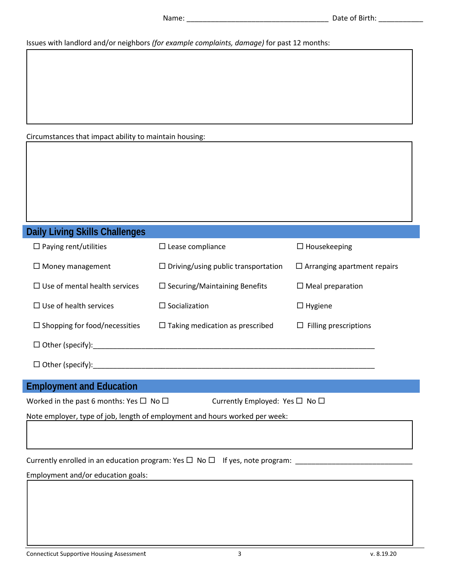Issues with landlord and/or neighbors *(for example complaints, damage)* for past 12 months:

Circumstances that impact ability to maintain housing:

# **Daily Living Skills Challenges**

| $\Box$ Paying rent/utilities         | $\Box$ Lease compliance                    | $\Box$ Housekeeping                |
|--------------------------------------|--------------------------------------------|------------------------------------|
| $\Box$ Money management              | $\Box$ Driving/using public transportation | $\Box$ Arranging apartment repairs |
| $\Box$ Use of mental health services | $\Box$ Securing/Maintaining Benefits       | $\Box$ Meal preparation            |
| $\Box$ Use of health services        | $\Box$ Socialization                       | $\Box$ Hygiene                     |
| $\Box$ Shopping for food/necessities | $\Box$ Taking medication as prescribed     | $\Box$ Filling prescriptions       |
| $\Box$ Other (specify):              |                                            |                                    |
|                                      |                                            |                                    |

Other (specify):\_\_\_\_\_\_\_\_\_\_\_\_\_\_\_\_\_\_\_\_\_\_\_\_\_\_\_\_\_\_\_\_\_\_\_\_\_\_\_\_\_\_\_\_\_\_\_\_\_\_\_\_\_\_\_\_\_\_\_\_\_\_\_\_\_\_\_\_\_\_

# **Employment and Education**

| Worked in the past 6 months: Yes $\square$ No $\square$ |
|---------------------------------------------------------|
|---------------------------------------------------------|

Currently Employed: Yes  $\Box$  No  $\Box$ 

Note employer, type of job, length of employment and hours worked per week:

Currently enrolled in an education program: Yes No If yes, note program: \_\_\_\_\_\_\_\_\_\_\_\_\_\_\_\_\_\_\_\_\_\_\_\_\_\_\_\_\_

Employment and/or education goals: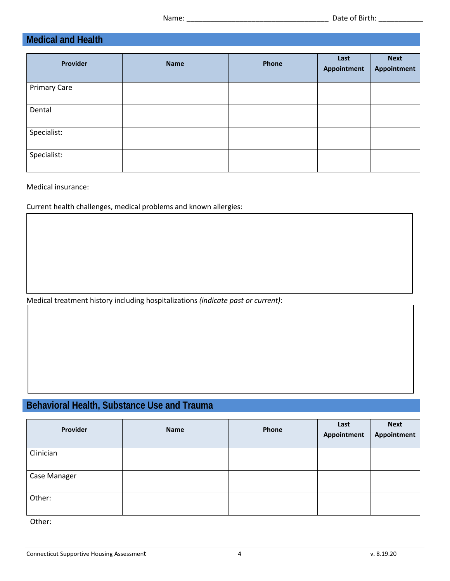# **Medical and Health**

| <b>Provider</b>     | <b>Name</b> | Phone | Last<br>Appointment | <b>Next</b><br>Appointment |
|---------------------|-------------|-------|---------------------|----------------------------|
| <b>Primary Care</b> |             |       |                     |                            |
| Dental              |             |       |                     |                            |
| Specialist:         |             |       |                     |                            |
| Specialist:         |             |       |                     |                            |

Medical insurance:

Current health challenges, medical problems and known allergies:

Medical treatment history including hospitalizations *(indicate past or current)*:

# **Behavioral Health, Substance Use and Trauma**

| Provider     | <b>Name</b> | Phone | Last<br>Appointment | <b>Next</b><br>Appointment |
|--------------|-------------|-------|---------------------|----------------------------|
| Clinician    |             |       |                     |                            |
| Case Manager |             |       |                     |                            |
| Other:       |             |       |                     |                            |

Other: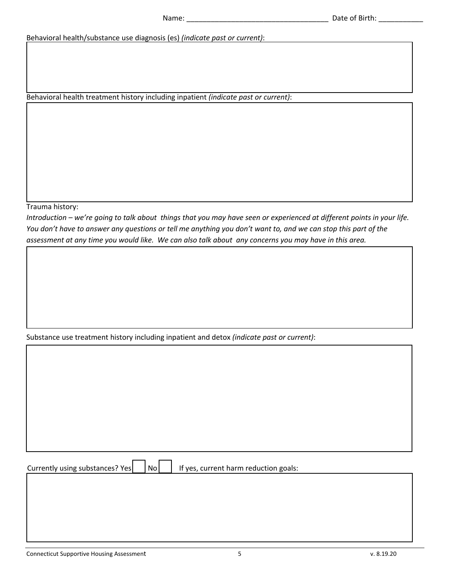Behavioral health/substance use diagnosis (es) *(indicate past or current)*:

Behavioral health treatment history including inpatient *(indicate past or current)*:

Trauma history:

*Introduction – we're going to talk about things that you may have seen or experienced at different points in your life. You don't have to answer any questions or tell me anything you don't want to, and we can stop this part of the assessment at any time you would like. We can also talk about any concerns you may have in this area.* 

Substance use treatment history including inpatient and detox *(indicate past or current)*:

Currently using substances? Yes  $\vert$  No  $\vert$  If yes, current harm reduction goals: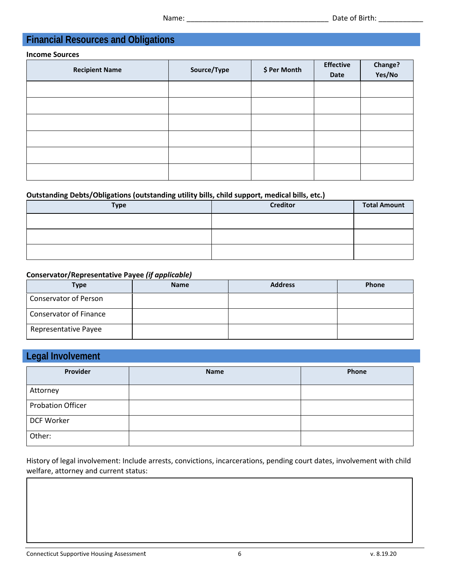# **Financial Resources and Obligations**

#### **Income Sources**

| <b>Recipient Name</b> | Source/Type | \$ Per Month | <b>Effective</b><br>Date | Change?<br>Yes/No |
|-----------------------|-------------|--------------|--------------------------|-------------------|
|                       |             |              |                          |                   |
|                       |             |              |                          |                   |
|                       |             |              |                          |                   |
|                       |             |              |                          |                   |
|                       |             |              |                          |                   |
|                       |             |              |                          |                   |

## **Outstanding Debts/Obligations (outstanding utility bills, child support, medical bills, etc.)**

| <b>Type</b> | <b>Creditor</b> | <b>Total Amount</b> |
|-------------|-----------------|---------------------|
|             |                 |                     |
|             |                 |                     |
|             |                 |                     |

## **Conservator/Representative Payee** *(if applicable)*

| <b>Type</b>                   | <b>Name</b> | <b>Address</b> | <b>Phone</b> |
|-------------------------------|-------------|----------------|--------------|
| <b>Conservator of Person</b>  |             |                |              |
| <b>Conservator of Finance</b> |             |                |              |
| <b>Representative Payee</b>   |             |                |              |

# **Legal Involvement**

| Provider                 | <b>Name</b> | Phone |
|--------------------------|-------------|-------|
| Attorney                 |             |       |
| <b>Probation Officer</b> |             |       |
| DCF Worker               |             |       |
| Other:                   |             |       |

History of legal involvement: Include arrests, convictions, incarcerations, pending court dates, involvement with child welfare, attorney and current status: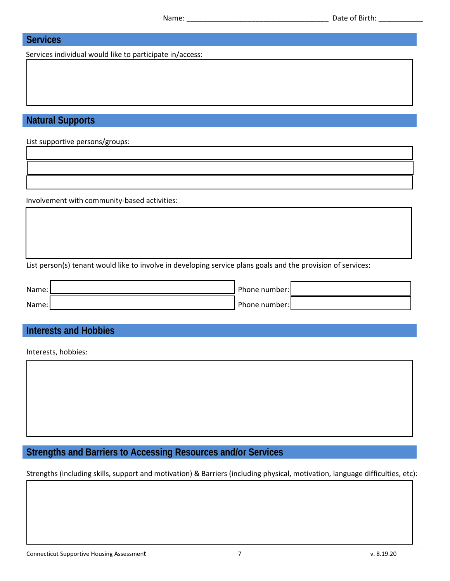## **Services**

Services individual would like to participate in/access:

## **Natural Supports**

List supportive persons/groups:

Involvement with community-based activities:

List person(s) tenant would like to involve in developing service plans goals and the provision of services:

| Name: | Phone number: |  |
|-------|---------------|--|
| Name: | Phone number: |  |

## **Interests and Hobbies**

Interests, hobbies:

# **Strengths and Barriers to Accessing Resources and/or Services**

Strengths (including skills, support and motivation) & Barriers (including physical, motivation, language difficulties, etc):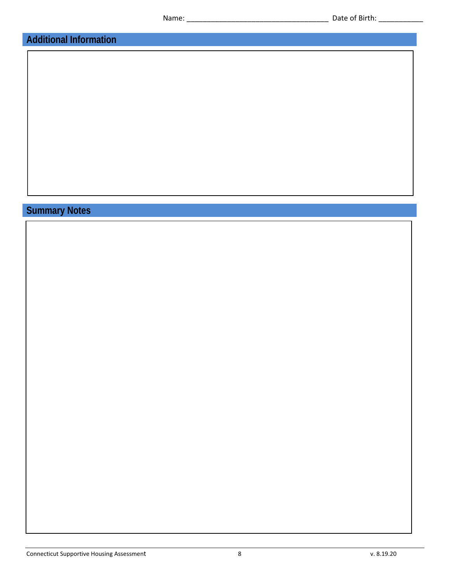# **Additional Information**

# **Summary Notes**

Connecticut Supportive Housing Assessment 8 8 v. 8.19.20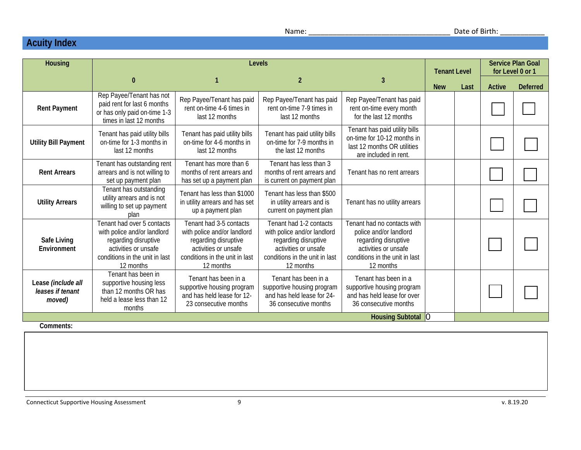# **Acuity Index**

| <b>Housing</b>                                   | <b>Levels</b>                                                                                                                                            |                                                                                                                                                       |                                                                                                                                                       |                                                                                                                                                      |                    | <b>Tenant Level</b> |               | <b>Service Plan Goal</b><br>for Level 0 or 1 |  |
|--------------------------------------------------|----------------------------------------------------------------------------------------------------------------------------------------------------------|-------------------------------------------------------------------------------------------------------------------------------------------------------|-------------------------------------------------------------------------------------------------------------------------------------------------------|------------------------------------------------------------------------------------------------------------------------------------------------------|--------------------|---------------------|---------------|----------------------------------------------|--|
|                                                  | $\bf{0}$                                                                                                                                                 |                                                                                                                                                       | $\overline{2}$                                                                                                                                        | 3                                                                                                                                                    | <b>New</b><br>Last |                     | <b>Active</b> | <b>Deferred</b>                              |  |
| <b>Rent Payment</b>                              | Rep Payee/Tenant has not<br>paid rent for last 6 months<br>or has only paid on-time 1-3<br>times in last 12 months                                       | Rep Payee/Tenant has paid<br>rent on-time 4-6 times in<br>last 12 months                                                                              | Rep Payee/Tenant has paid<br>rent on-time 7-9 times in<br>last 12 months                                                                              | Rep Payee/Tenant has paid<br>rent on-time every month<br>for the last 12 months                                                                      |                    |                     |               |                                              |  |
| <b>Utility Bill Payment</b>                      | Tenant has paid utility bills<br>on-time for 1-3 months in<br>last 12 months                                                                             | Tenant has paid utility bills<br>on-time for 4-6 months in<br>last 12 months                                                                          | Tenant has paid utility bills<br>on-time for 7-9 months in<br>the last 12 months                                                                      | Tenant has paid utility bills<br>on-time for 10-12 months in<br>last 12 months OR utilities<br>are included in rent.                                 |                    |                     |               |                                              |  |
| <b>Rent Arrears</b>                              | Tenant has outstanding rent<br>arrears and is not willing to<br>set up payment plan                                                                      | Tenant has more than 6<br>months of rent arrears and<br>has set up a payment plan                                                                     | Tenant has less than 3<br>months of rent arrears and<br>is current on payment plan                                                                    | Tenant has no rent arrears                                                                                                                           |                    |                     |               |                                              |  |
| <b>Utility Arrears</b>                           | Tenant has outstanding<br>utility arrears and is not<br>willing to set up payment<br>plan                                                                | Tenant has less than \$1000<br>in utility arrears and has set<br>up a payment plan                                                                    | Tenant has less than \$500<br>in utility arrears and is<br>current on payment plan                                                                    | Tenant has no utility arrears                                                                                                                        |                    |                     |               |                                              |  |
| Safe Living<br>Environment                       | Tenant had over 5 contacts<br>with police and/or landlord<br>regarding disruptive<br>activities or unsafe<br>conditions in the unit in last<br>12 months | Tenant had 3-5 contacts<br>with police and/or landlord<br>regarding disruptive<br>activities or unsafe<br>conditions in the unit in last<br>12 months | Tenant had 1-2 contacts<br>with police and/or landlord<br>regarding disruptive<br>activities or unsafe<br>conditions in the unit in last<br>12 months | Tenant had no contacts with<br>police and/or landlord<br>regarding disruptive<br>activities or unsafe<br>conditions in the unit in last<br>12 months |                    |                     |               |                                              |  |
| Lease (include all<br>leases if tenant<br>moved) | Tenant has been in<br>supportive housing less<br>than 12 months OR has<br>held a lease less than 12<br>months                                            | Tenant has been in a<br>supportive housing program<br>and has held lease for 12-<br>23 consecutive months                                             | Tenant has been in a<br>supportive housing program<br>and has held lease for 24-<br>36 consecutive months                                             | Tenant has been in a<br>supportive housing program<br>and has held lease for over<br>36 consecutive months                                           |                    |                     |               |                                              |  |
| Common                                           |                                                                                                                                                          |                                                                                                                                                       |                                                                                                                                                       | Housing Subtotal O                                                                                                                                   |                    |                     |               |                                              |  |

**Comments:** 

Connecticut Supportive Housing Assessment 9 v. 8.19.20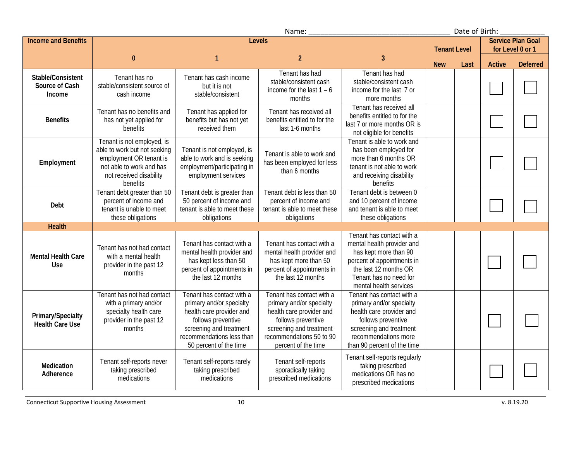| Name:                                         |                                                                                                                                                          |                                                                                                                                                                                           |                                                                                                                                                                                       |                                                                                                                                                                                             | Date of Birth:      |      |                          |                  |
|-----------------------------------------------|----------------------------------------------------------------------------------------------------------------------------------------------------------|-------------------------------------------------------------------------------------------------------------------------------------------------------------------------------------------|---------------------------------------------------------------------------------------------------------------------------------------------------------------------------------------|---------------------------------------------------------------------------------------------------------------------------------------------------------------------------------------------|---------------------|------|--------------------------|------------------|
| <b>Income and Benefits</b>                    | <b>Levels</b>                                                                                                                                            |                                                                                                                                                                                           |                                                                                                                                                                                       |                                                                                                                                                                                             |                     |      | <b>Service Plan Goal</b> |                  |
|                                               |                                                                                                                                                          |                                                                                                                                                                                           |                                                                                                                                                                                       |                                                                                                                                                                                             | <b>Tenant Level</b> |      |                          | for Level 0 or 1 |
|                                               | $\bf{0}$                                                                                                                                                 | $\mathbf{1}$                                                                                                                                                                              | $\overline{2}$                                                                                                                                                                        | $\overline{3}$                                                                                                                                                                              | <b>New</b>          | Last | <b>Active</b>            | <b>Deferred</b>  |
| Stable/Consistent<br>Source of Cash<br>Income | Tenant has no<br>stable/consistent source of<br>cash income                                                                                              | Tenant has cash income<br>but it is not<br>stable/consistent                                                                                                                              | Tenant has had<br>stable/consistent cash<br>income for the last $1 - 6$<br>months                                                                                                     | Tenant has had<br>stable/consistent cash<br>income for the last 7 or<br>more months                                                                                                         |                     |      |                          |                  |
| <b>Benefits</b>                               | Tenant has no benefits and<br>has not yet applied for<br>benefits                                                                                        | Tenant has applied for<br>benefits but has not yet<br>received them                                                                                                                       | Tenant has received all<br>benefits entitled to for the<br>last 1-6 months                                                                                                            | Tenant has received all<br>benefits entitled to for the<br>last 7 or more months OR is<br>not eligible for benefits                                                                         |                     |      |                          |                  |
| Employment                                    | Tenant is not employed, is<br>able to work but not seeking<br>employment OR tenant is<br>not able to work and has<br>not received disability<br>benefits | Tenant is not employed, is<br>able to work and is seeking<br>employment/participating in<br>employment services                                                                           | Tenant is able to work and<br>has been employed for less<br>than 6 months                                                                                                             | Tenant is able to work and<br>has been employed for<br>more than 6 months OR<br>tenant is not able to work<br>and receiving disability<br>benefits                                          |                     |      |                          |                  |
| Debt                                          | Tenant debt greater than 50<br>percent of income and<br>tenant is unable to meet<br>these obligations                                                    | Tenant debt is greater than<br>50 percent of income and<br>tenant is able to meet these<br>obligations                                                                                    | Tenant debt is less than 50<br>percent of income and<br>tenant is able to meet these<br>obligations                                                                                   | Tenant debt is between 0<br>and 10 percent of income<br>and tenant is able to meet<br>these obligations                                                                                     |                     |      |                          |                  |
| <b>Health</b>                                 |                                                                                                                                                          |                                                                                                                                                                                           |                                                                                                                                                                                       |                                                                                                                                                                                             |                     |      |                          |                  |
| <b>Mental Health Care</b><br><b>Use</b>       | Tenant has not had contact<br>with a mental health<br>provider in the past 12<br>months                                                                  | Tenant has contact with a<br>mental health provider and<br>has kept less than 50<br>percent of appointments in<br>the last 12 months                                                      | Tenant has contact with a<br>mental health provider and<br>has kept more than 50<br>percent of appointments in<br>the last 12 months                                                  | Tenant has contact with a<br>mental health provider and<br>has kept more than 90<br>percent of appointments in<br>the last 12 months OR<br>Tenant has no need for<br>mental health services |                     |      |                          |                  |
| Primary/Specialty<br><b>Health Care Use</b>   | Tenant has not had contact<br>with a primary and/or<br>specialty health care<br>provider in the past 12<br>months                                        | Tenant has contact with a<br>primary and/or specialty<br>health care provider and<br>follows preventive<br>screening and treatment<br>recommendations less than<br>50 percent of the time | Tenant has contact with a<br>primary and/or specialty<br>health care provider and<br>follows preventive<br>screening and treatment<br>recommendations 50 to 90<br>percent of the time | Tenant has contact with a<br>primary and/or specialty<br>health care provider and<br>follows preventive<br>screening and treatment<br>recommendations more<br>than 90 percent of the time   |                     |      |                          |                  |
| Medication<br>Adherence                       | Tenant self-reports never<br>taking prescribed<br>medications                                                                                            | Tenant self-reports rarely<br>taking prescribed<br>medications                                                                                                                            | Tenant self-reports<br>sporadically taking<br>prescribed medications                                                                                                                  | Tenant self-reports regularly<br>taking prescribed<br>medications OR has no<br>prescribed medications                                                                                       |                     |      |                          |                  |

Connecticut Supportive Housing Assessment 10 and 10 v. 8.19.20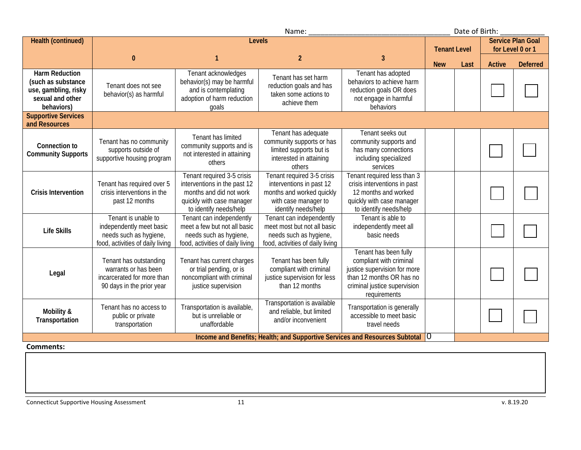| Name:                                                                                                 |                                                                                                               |                                                                                                                                              |                                                                                                                                    |                                                                                                                                                              | Date of Birth:      |      |               |                          |
|-------------------------------------------------------------------------------------------------------|---------------------------------------------------------------------------------------------------------------|----------------------------------------------------------------------------------------------------------------------------------------------|------------------------------------------------------------------------------------------------------------------------------------|--------------------------------------------------------------------------------------------------------------------------------------------------------------|---------------------|------|---------------|--------------------------|
| Health (continued)                                                                                    | <b>Levels</b>                                                                                                 |                                                                                                                                              |                                                                                                                                    |                                                                                                                                                              |                     |      |               | <b>Service Plan Goal</b> |
|                                                                                                       |                                                                                                               |                                                                                                                                              |                                                                                                                                    |                                                                                                                                                              | <b>Tenant Level</b> |      |               | for Level 0 or 1         |
|                                                                                                       | $\mathbf{0}$                                                                                                  |                                                                                                                                              | $\overline{2}$                                                                                                                     | 3                                                                                                                                                            | <b>New</b>          | Last | <b>Active</b> | <b>Deferred</b>          |
| <b>Harm Reduction</b><br>(such as substance<br>use, gambling, risky<br>sexual and other<br>behaviors) | Tenant does not see<br>behavior(s) as harmful                                                                 | Tenant acknowledges<br>behavior(s) may be harmful<br>and is contemplating<br>adoption of harm reduction<br>qoals                             | Tenant has set harm<br>reduction goals and has<br>taken some actions to<br>achieve them                                            | Tenant has adopted<br>behaviors to achieve harm<br>reduction goals OR does<br>not engage in harmful<br>behaviors                                             |                     |      |               |                          |
| <b>Supportive Services</b><br>and Resources                                                           |                                                                                                               |                                                                                                                                              |                                                                                                                                    |                                                                                                                                                              |                     |      |               |                          |
| <b>Connection to</b><br><b>Community Supports</b>                                                     | Tenant has no community<br>supports outside of<br>supportive housing program                                  | Tenant has limited<br>community supports and is<br>not interested in attaining<br>others                                                     | Tenant has adequate<br>community supports or has<br>limited supports but is<br>interested in attaining<br>others                   | Tenant seeks out<br>community supports and<br>has many connections<br>including specialized<br>services                                                      |                     |      |               |                          |
| <b>Crisis Intervention</b>                                                                            | Tenant has required over 5<br>crisis interventions in the<br>past 12 months                                   | Tenant required 3-5 crisis<br>interventions in the past 12<br>months and did not work<br>quickly with case manager<br>to identify needs/help | Tenant required 3-5 crisis<br>interventions in past 12<br>months and worked quickly<br>with case manager to<br>identify needs/help | Tenant required less than 3<br>crisis interventions in past<br>12 months and worked<br>quickly with case manager<br>to identify needs/help                   |                     |      |               |                          |
| <b>Life Skills</b>                                                                                    | Tenant is unable to<br>independently meet basic<br>needs such as hygiene,<br>food, activities of daily living | Tenant can independently<br>meet a few but not all basic<br>needs such as hygiene,<br>food, activities of daily living                       | Tenant can independently<br>meet most but not all basic<br>needs such as hygiene,<br>food, activities of daily living              | Tenant is able to<br>independently meet all<br>basic needs                                                                                                   |                     |      |               |                          |
| Legal                                                                                                 | Tenant has outstanding<br>warrants or has been<br>incarcerated for more than<br>90 days in the prior year     | Tenant has current charges<br>or trial pending, or is<br>noncompliant with criminal<br>justice supervision                                   | Tenant has been fully<br>compliant with criminal<br>justice supervision for less<br>than 12 months                                 | Tenant has been fully<br>compliant with criminal<br>justice supervision for more<br>than 12 months OR has no<br>criminal justice supervision<br>requirements |                     |      |               |                          |
| Mobility &<br>Transportation                                                                          | Tenant has no access to<br>public or private<br>transportation                                                | Transportation is available,<br>but is unreliable or<br>unaffordable                                                                         | Transportation is available<br>and reliable, but limited<br>and/or inconvenient                                                    | Transportation is generally<br>accessible to meet basic<br>travel needs                                                                                      |                     |      |               |                          |
|                                                                                                       |                                                                                                               |                                                                                                                                              | Income and Benefits; Health; and Supportive Services and Resources Subtotal   O                                                    |                                                                                                                                                              |                     |      |               |                          |

### **Comments:**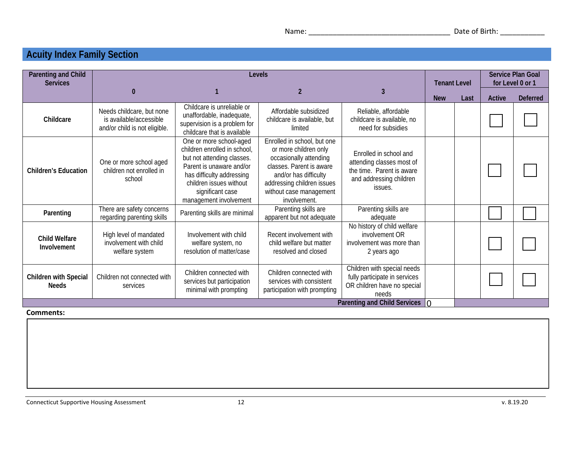# **Acuity Index Family Section**

| <b>Parenting and Child</b><br><b>Services</b> | Levels                                                                                |                                                                                                                                                                                                                         |                                                                                                                                                                                                              |                                                                                                                        |            |      | <b>Service Plan Goal</b><br>for Level 0 or 1 |                 |
|-----------------------------------------------|---------------------------------------------------------------------------------------|-------------------------------------------------------------------------------------------------------------------------------------------------------------------------------------------------------------------------|--------------------------------------------------------------------------------------------------------------------------------------------------------------------------------------------------------------|------------------------------------------------------------------------------------------------------------------------|------------|------|----------------------------------------------|-----------------|
|                                               |                                                                                       |                                                                                                                                                                                                                         |                                                                                                                                                                                                              | 3                                                                                                                      | <b>New</b> | Last | Active                                       | <b>Deferred</b> |
| Childcare                                     | Needs childcare, but none<br>is available/accessible<br>and/or child is not eligible. | Childcare is unreliable or<br>unaffordable, inadequate,<br>supervision is a problem for<br>childcare that is available                                                                                                  | Affordable subsidized<br>childcare is available, but<br>limited                                                                                                                                              | Reliable, affordable<br>childcare is available, no<br>need for subsidies                                               |            |      |                                              |                 |
| <b>Children's Education</b>                   | One or more school aged<br>children not enrolled in<br>school                         | One or more school-aged<br>children enrolled in school,<br>but not attending classes.<br>Parent is unaware and/or<br>has difficulty addressing<br>children issues without<br>significant case<br>management involvement | Enrolled in school, but one<br>or more children only<br>occasionally attending<br>classes. Parent is aware<br>and/or has difficulty<br>addressing children issues<br>without case management<br>involvement. | Enrolled in school and<br>attending classes most of<br>the time. Parent is aware<br>and addressing children<br>issues. |            |      |                                              |                 |
| Parenting                                     | There are safety concerns<br>regarding parenting skills                               | Parenting skills are minimal                                                                                                                                                                                            | Parenting skills are<br>apparent but not adequate                                                                                                                                                            | Parenting skills are<br>adequate                                                                                       |            |      |                                              |                 |
| <b>Child Welfare</b><br>Involvement           | High level of mandated<br>involvement with child<br>welfare system                    | Involvement with child<br>welfare system, no<br>resolution of matter/case                                                                                                                                               | Recent involvement with<br>child welfare but matter<br>resolved and closed                                                                                                                                   | No history of child welfare<br>involvement OR<br>involvement was more than<br>2 years ago                              |            |      |                                              |                 |
| <b>Children with Special</b><br><b>Needs</b>  | Children not connected with<br>services                                               | Children connected with<br>services but participation<br>minimal with prompting                                                                                                                                         | Children connected with<br>services with consistent<br>participation with prompting                                                                                                                          | Children with special needs<br>fully participate in services<br>OR children have no special<br>needs                   |            |      |                                              |                 |
|                                               | Parenting and Child Services<br>$\Omega$                                              |                                                                                                                                                                                                                         |                                                                                                                                                                                                              |                                                                                                                        |            |      |                                              |                 |

#### **Comments:**